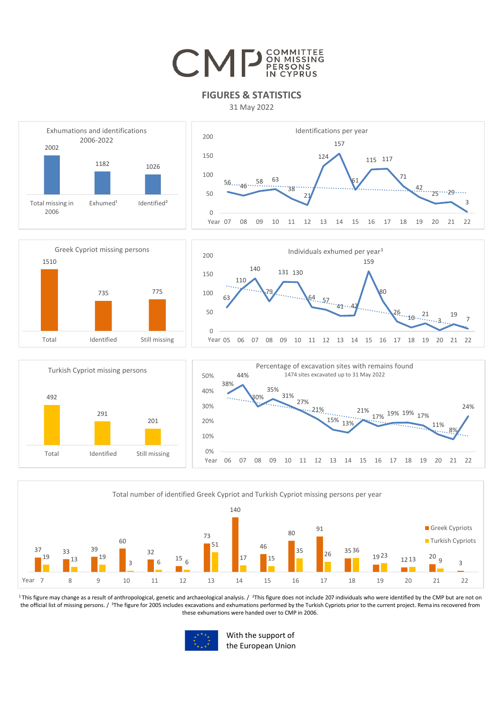## CMP<sup>COMMITTEE</sup>

## **FIGURES & STATISTICS**

31 May 2022



<sup>1</sup>This figure may change as a result of anthropological, genetic and archaeological analysis. / <sup>2</sup>This figure does not include 207 individuals who were identified by the CMP but are not on the official list of missing persons. / <sup>3</sup>The figure for 2005 includes excavations and exhumations performed by the Turkish Cypriots prior to the current project. Rema ins recovered from these exhumations were handed over to CMP in 2006.



With the support of the European Union